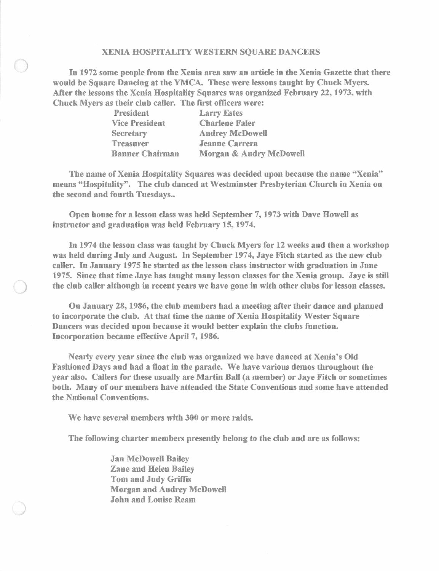## XENIA HOSPITALITY WESTERN SQUARE DANCERS

In 1972 some people from the Xenia area saw an article in the Xenia Gazette that there would be Square Dancing at the YMCA. These were lessons taught by Chuck Myers. After the lessons the Xenia Hospitality Squares was organized February 22, 1973, with Chuck Myers as their club caller. The first officers were:

| President              | <b>Larry Estes</b>      |
|------------------------|-------------------------|
| <b>Vice President</b>  | <b>Charlene Faler</b>   |
| Secretary              | <b>Audrey McDowell</b>  |
| Treasurer              | <b>Jeanne Carrera</b>   |
| <b>Banner Chairman</b> | Morgan & Audry McDowell |

The name of Xenia Hospitality Squares was decided upon because the name "Xenia" means "Hospitality". The club danced at Westminster Presbyterian Church in Xenia on the second and fourth Tuesdays..

Open house for a lesson class was held September 7,1973 with Dave Howell as instructor and graduation was held February 15, 1974.

In 1974 the lesson class was taught by Chuck Myers for 12 weeks and then a workshop was held during July and August. In September 1974, Jaye Fitch started as the new club caller. In January 1975 he started as the lesson class instructor with graduation in June 1975. Since that time Jaye has taught many lesson classes for the Xenia group. Jaye is still the club caller although in recent years we have gone in with other clnbs for lesson classes.

On January 28, 1986, the club members had a meeting after their dance and planned to incorporate the club. At that time the uame of Xenia Hospitality Wester Square Dancers was decided upon because it would better explain the clubs function. Incorporation became effective April 7, 1986.

Nearly every year since the club was organized we have danced at Xenia's Old Fashioned Days and had a float in the parade. We have various demos throughout the year also. Callers for these usually are Martin Ball (a member) or Jaye Fitch or sometimes both. Many of our members have attended the State Conventions and some have attended the National Conventions.

We have several members with 300 or more raids.

The following charter members presently belong to the club and are as follows:

Jan McDowell Bailey Zane and Helen Bailey Tom and Judy Griffis Morgan and Audrey McDowell John and Louise Ream